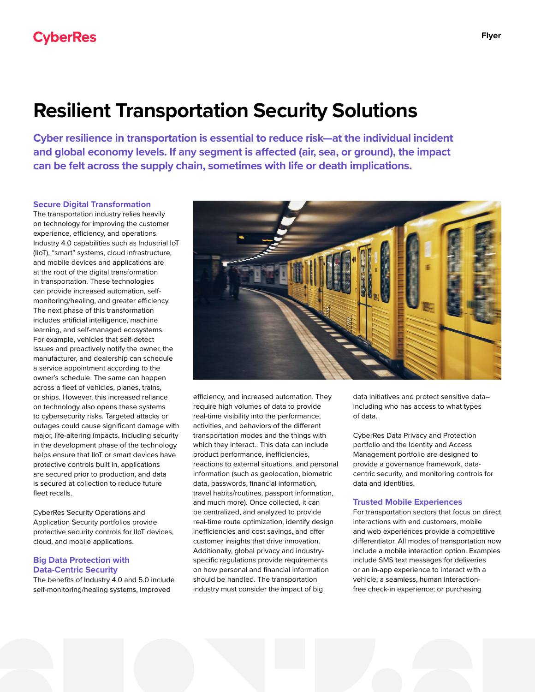# **Resilient Transportation Security Solutions**

**Cyber resilience in transportation is essential to reduce risk—at the individual incident and global economy levels. If any segment is affected (air, sea, or ground), the impact can be felt across the supply chain, sometimes with life or death implications.**

## **Secure Digital Transformation**

The transportation industry relies heavily on technology for improving the customer experience, efficiency, and operations. Industry 4.0 capabilities such as Industrial IoT (IIoT), "smart" systems, cloud infrastructure, and mobile devices and applications are at the root of the digital transformation in transportation. These technologies can provide increased automation, selfmonitoring/healing, and greater efficiency. The next phase of this transformation includes artificial intelligence, machine learning, and self-managed ecosystems. For example, vehicles that self-detect issues and proactively notify the owner, the manufacturer, and dealership can schedule a service appointment according to the owner's schedule. The same can happen across a fleet of vehicles, planes, trains, or ships. However, this increased reliance on technology also opens these systems to cybersecurity risks. Targeted attacks or outages could cause significant damage with major, life-altering impacts. Including security in the development phase of the technology helps ensure that IIoT or smart devices have protective controls built in, applications are secured prior to production, and data is secured at collection to reduce future fleet recalls.

CyberRes Security Operations and Application Security portfolios provide protective security controls for IIoT devices, cloud, and mobile applications.

#### **Big Data Protection with Data-Centric Security**

The benefits of Industry 4.0 and 5.0 include self-monitoring/healing systems, improved



efficiency, and increased automation. They require high volumes of data to provide real-time visibility into the performance, activities, and behaviors of the different transportation modes and the things with which they interact.. This data can include product performance, inefficiencies, reactions to external situations, and personal information (such as geolocation, biometric data, passwords, financial information, travel habits/routines, passport information, and much more). Once collected, it can be centralized, and analyzed to provide real-time route optimization, identify design inefficiencies and cost savings, and offer customer insights that drive innovation. Additionally, global privacy and industryspecific regulations provide requirements on how personal and financial information should be handled. The transportation industry must consider the impact of big

data initiatives and protect sensitive data– including who has access to what types of data.

CyberRes Data Privacy and Protection portfolio and the Identity and Access Management portfolio are designed to provide a governance framework, datacentric security, and monitoring controls for data and identities.

#### **Trusted Mobile Experiences**

For transportation sectors that focus on direct interactions with end customers, mobile and web experiences provide a competitive differentiator. All modes of transportation now include a mobile interaction option. Examples include SMS text messages for deliveries or an in-app experience to interact with a vehicle; a seamless, human interactionfree check-in experience; or purchasing